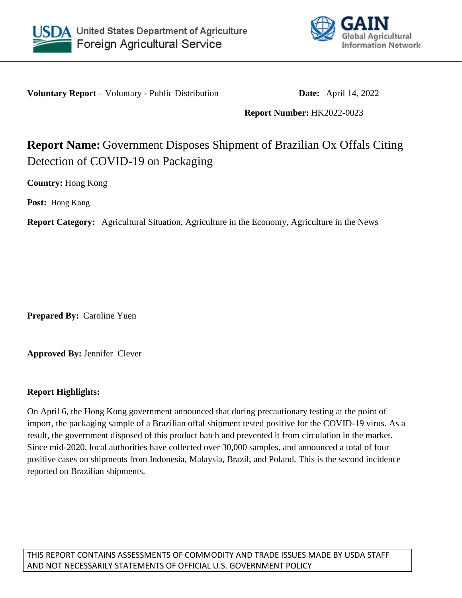



**Voluntary Report –** Voluntary - Public Distribution **Date:** April 14, 2022

## **Report Number:** HK2022-0023

## **Report Name:** Government Disposes Shipment of Brazilian Ox Offals Citing Detection of COVID-19 on Packaging

**Country:** Hong Kong

**Post:** Hong Kong

**Report Category:** Agricultural Situation, Agriculture in the Economy, Agriculture in the News

**Prepared By:** Caroline Yuen

**Approved By:** Jennifer Clever

## **Report Highlights:**

On April 6, the Hong Kong government announced that during precautionary testing at the point of import, the packaging sample of a Brazilian offal shipment tested positive for the COVID-19 virus. As a result, the government disposed of this product batch and prevented it from circulation in the market. Since mid-2020, local authorities have collected over 30,000 samples, and announced a total of four positive cases on shipments from Indonesia, Malaysia, Brazil, and Poland. This is the second incidence reported on Brazilian shipments.

THIS REPORT CONTAINS ASSESSMENTS OF COMMODITY AND TRADE ISSUES MADE BY USDA STAFF AND NOT NECESSARILY STATEMENTS OF OFFICIAL U.S. GOVERNMENT POLICY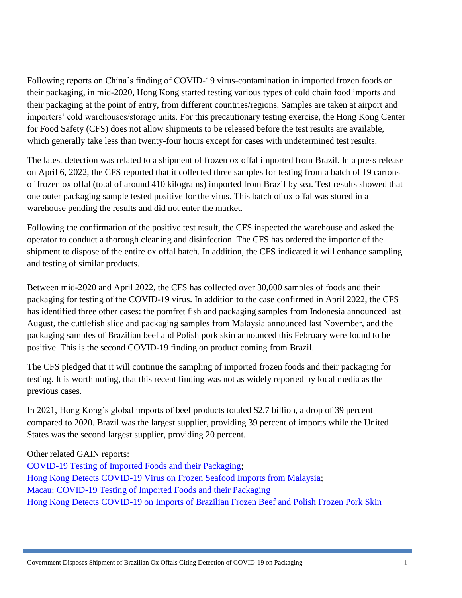Following reports on China's finding of COVID-19 virus-contamination in imported frozen foods or their packaging, in mid-2020, Hong Kong started testing various types of cold chain food imports and their packaging at the point of entry, from different countries/regions. Samples are taken at airport and importers' cold warehouses/storage units. For this precautionary testing exercise, the Hong Kong Center for Food Safety (CFS) does not allow shipments to be released before the test results are available, which generally take less than twenty-four hours except for cases with undetermined test results.

The latest detection was related to a shipment of frozen ox offal imported from Brazil. In a press release on April 6, 2022, the CFS reported that it collected three samples for testing from a batch of 19 cartons of frozen ox offal (total of around 410 kilograms) imported from Brazil by sea. Test results showed that one outer packaging sample tested positive for the virus. This batch of ox offal was stored in a warehouse pending the results and did not enter the market.

Following the confirmation of the positive test result, the CFS inspected the warehouse and asked the operator to conduct a thorough cleaning and disinfection. The CFS has ordered the importer of the shipment to dispose of the entire ox offal batch. In addition, the CFS indicated it will enhance sampling and testing of similar products.

Between mid-2020 and April 2022, the CFS has collected over 30,000 samples of foods and their packaging for testing of the COVID-19 virus. In addition to the case confirmed in April 2022, the CFS has identified three other cases: the pomfret fish and packaging samples from Indonesia announced last August, the cuttlefish slice and packaging samples from Malaysia announced last November, and the packaging samples of Brazilian beef and Polish pork skin announced this February were found to be positive. This is the second COVID-19 finding on product coming from Brazil.

The CFS pledged that it will continue the sampling of imported frozen foods and their packaging for testing. It is worth noting, that this recent finding was not as widely reported by local media as the previous cases.

In 2021, Hong Kong's global imports of beef products totaled \$2.7 billion, a drop of 39 percent compared to 2020. Brazil was the largest supplier, providing 39 percent of imports while the United States was the second largest supplier, providing 20 percent.

Other related GAIN reports:

[COVID-19 Testing of Imported Foods and their Packaging;](file:///C:/Users/User1/Downloads/COVID-19%20Testing%20of%20Imported%20Foods%20and%20their%20Packaging) [Hong Kong Detects COVID-19 Virus on Frozen Seafood Imports from Malaysia;](https://www.fas.usda.gov/data/hong-kong-hong-kong-detects-covid-19-virus-frozen-seafood-imports-malaysia) [Macau: COVID-19 Testing of Imported Foods and their Packaging](https://www.fas.usda.gov/data/macau-covid-19-testing-of-imported-foods) Hong Kong Detects COVID-19 on [Imports of Brazilian Frozen Beef and Polish Frozen Pork Skin](https://www.fas.usda.gov/data/hong-kong-hong-kong-detects-covid-19-imports-brazilian-frozen-beef-and-polish-frozen-pork-skin)